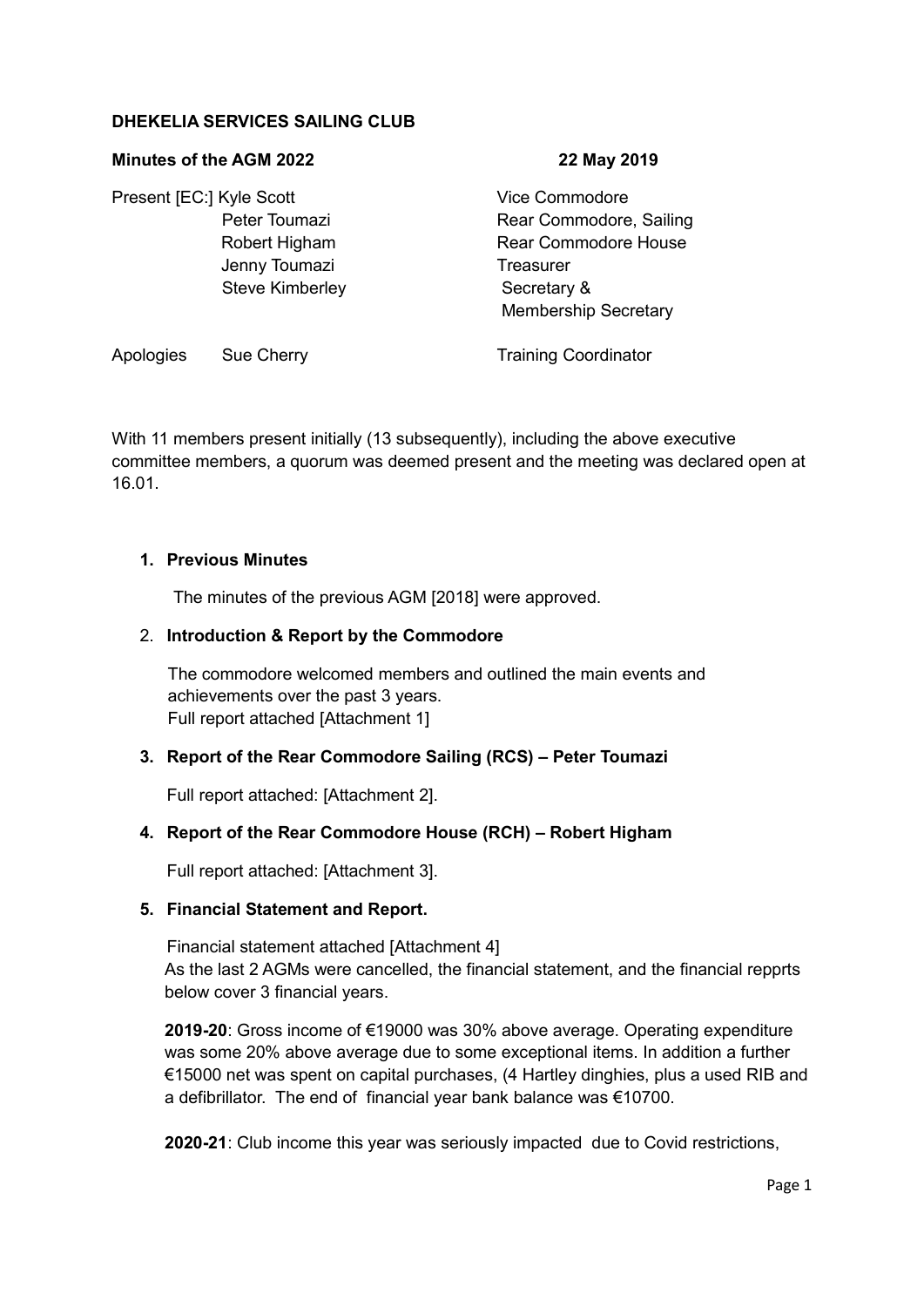## **DHEKELIA SERVICES SAILING CLUB**

## **Minutes of the AGM 2022** 22 May 2019

| Present [EC:] Kyle Scott | Vice Commodore              |  |  |
|--------------------------|-----------------------------|--|--|
| Peter Toumazi            | Rear Commodore, Sailing     |  |  |
| Robert Higham            | <b>Rear Commodore House</b> |  |  |
| Jenny Toumazi            | Treasurer                   |  |  |
| <b>Steve Kimberley</b>   | Secretary &                 |  |  |
|                          | <b>Membership Secretary</b> |  |  |

Apologies Sue Cherry Training Coordinator

With 11 members present initially (13 subsequently), including the above executive committee members, a quorum was deemed present and the meeting was declared open at 16.01.

## **1. Previous Minutes**

The minutes of the previous AGM [2018] were approved.

### 2. **Introduction & Report by the Commodore**

The commodore welcomed members and outlined the main events and achievements over the past 3 years. Full report attached [Attachment 1]

## **3. Report of the Rear Commodore Sailing (RCS) – Peter Toumazi**

Full report attached: [Attachment 2].

#### **4. Report of the Rear Commodore House (RCH) – Robert Higham**

Full report attached: [Attachment 3].

#### **5. Financial Statement and Report.**

Financial statement attached [Attachment 4] As the last 2 AGMs were cancelled, the financial statement, and the financial repprts below cover 3 financial years.

**2019-20**: Gross income of €19000 was 30% above average. Operating expenditure was some 20% above average due to some exceptional items. In addition a further €15000 net was spent on capital purchases, (4 Hartley dinghies, plus a used RIB and a defibrillator. The end of financial year bank balance was €10700.

**2020-21**: Club income this year was seriously impacted due to Covid restrictions,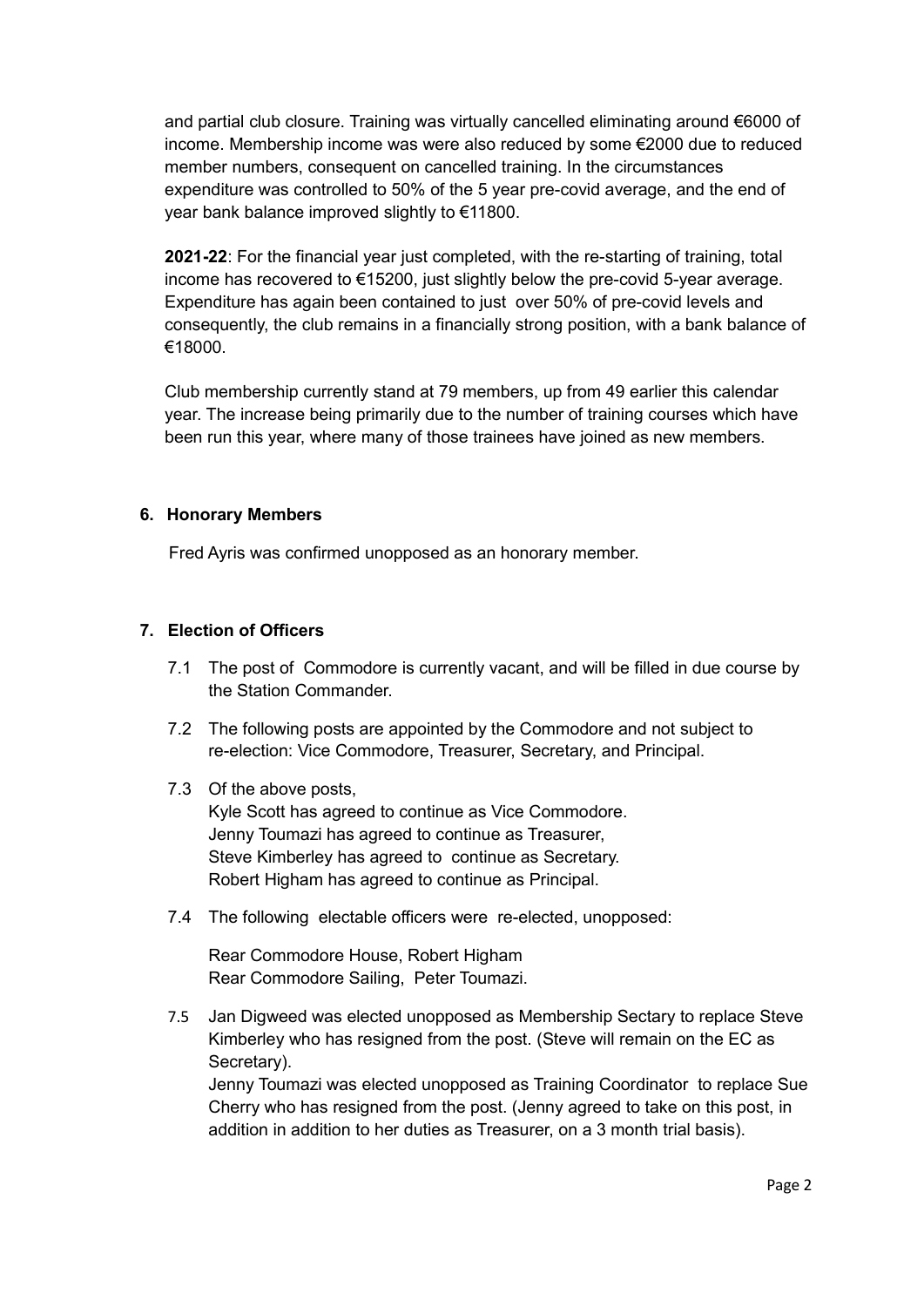and partial club closure. Training was virtually cancelled eliminating around €6000 of income. Membership income was were also reduced by some €2000 due to reduced member numbers, consequent on cancelled training. In the circumstances expenditure was controlled to 50% of the 5 year pre-covid average, and the end of year bank balance improved slightly to €11800.

**2021-22**: For the financial year just completed, with the re-starting of training, total income has recovered to €15200, just slightly below the pre-covid 5-year average. Expenditure has again been contained to just over 50% of pre-covid levels and consequently, the club remains in a financially strong position, with a bank balance of €18000.

Club membership currently stand at 79 members, up from 49 earlier this calendar year. The increase being primarily due to the number of training courses which have been run this year, where many of those trainees have joined as new members.

## **6. Honorary Members**

Fred Ayris was confirmed unopposed as an honorary member.

## **7. Election of Officers**

- 7.1 The post of Commodore is currently vacant, and will be filled in due course by the Station Commander.
- 7.2 The following posts are appointed by the Commodore and not subject to re-election: Vice Commodore, Treasurer, Secretary, and Principal.
- 7.3 Of the above posts,

Kyle Scott has agreed to continue as Vice Commodore. Jenny Toumazi has agreed to continue as Treasurer, Steve Kimberley has agreed to continue as Secretary. Robert Higham has agreed to continue as Principal.

7.4 The following electable officers were re-elected, unopposed:

Rear Commodore House, Robert Higham Rear Commodore Sailing, Peter Toumazi.

7.5 Jan Digweed was elected unopposed as Membership Sectary to replace Steve Kimberley who has resigned from the post. (Steve will remain on the EC as Secretary).

Jenny Toumazi was elected unopposed as Training Coordinator to replace Sue Cherry who has resigned from the post. (Jenny agreed to take on this post, in addition in addition to her duties as Treasurer, on a 3 month trial basis).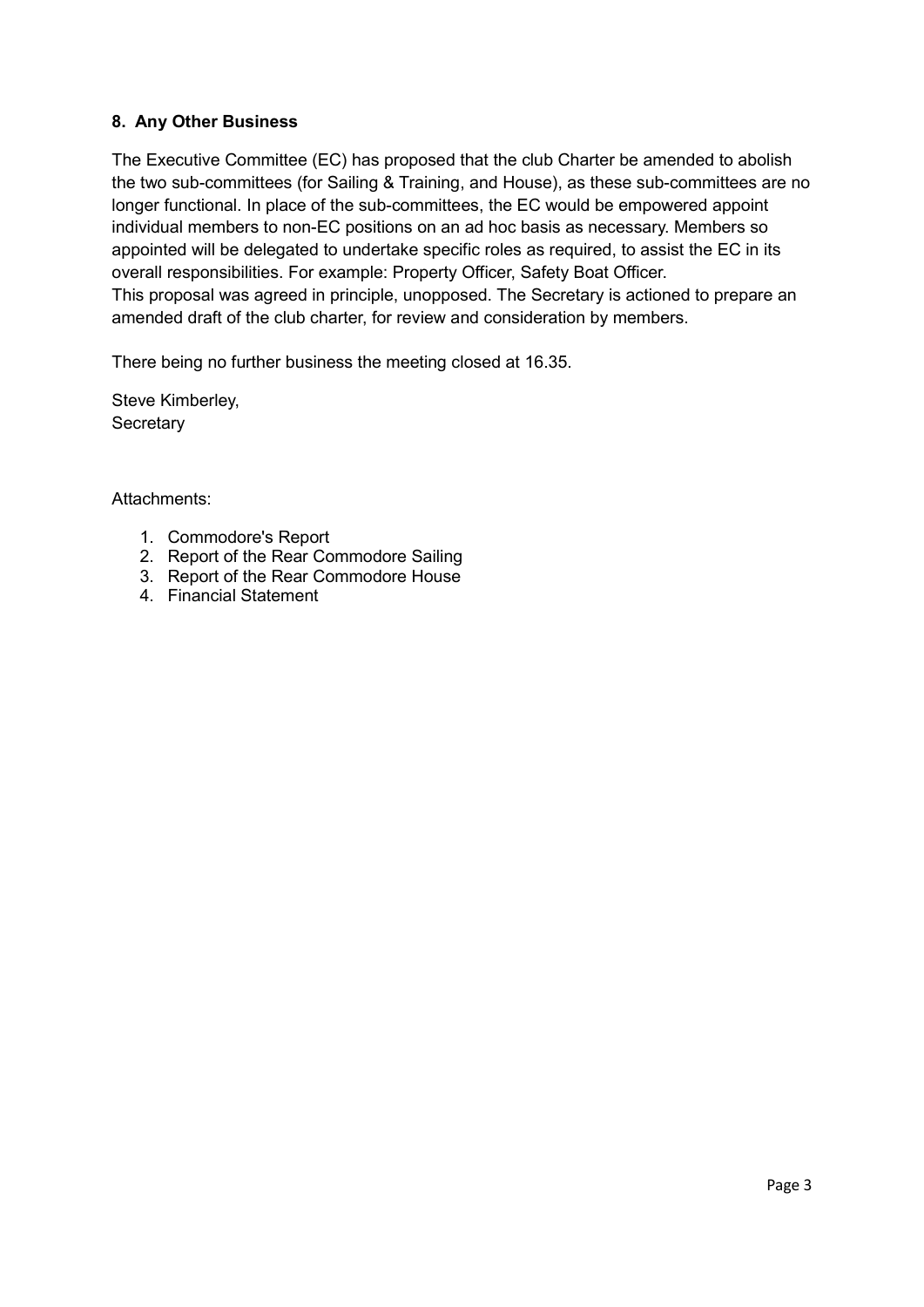## **8. Any Other Business**

The Executive Committee (EC) has proposed that the club Charter be amended to abolish the two sub-committees (for Sailing & Training, and House), as these sub-committees are no longer functional. In place of the sub-committees, the EC would be empowered appoint individual members to non-EC positions on an ad hoc basis as necessary. Members so appointed will be delegated to undertake specific roles as required, to assist the EC in its overall responsibilities. For example: Property Officer, Safety Boat Officer. This proposal was agreed in principle, unopposed. The Secretary is actioned to prepare an amended draft of the club charter, for review and consideration by members.

There being no further business the meeting closed at 16.35.

Steve Kimberley, **Secretary** 

### Attachments:

- 1. Commodore's Report
- 2. Report of the Rear Commodore Sailing
- 3. Report of the Rear Commodore House
- 4. Financial Statement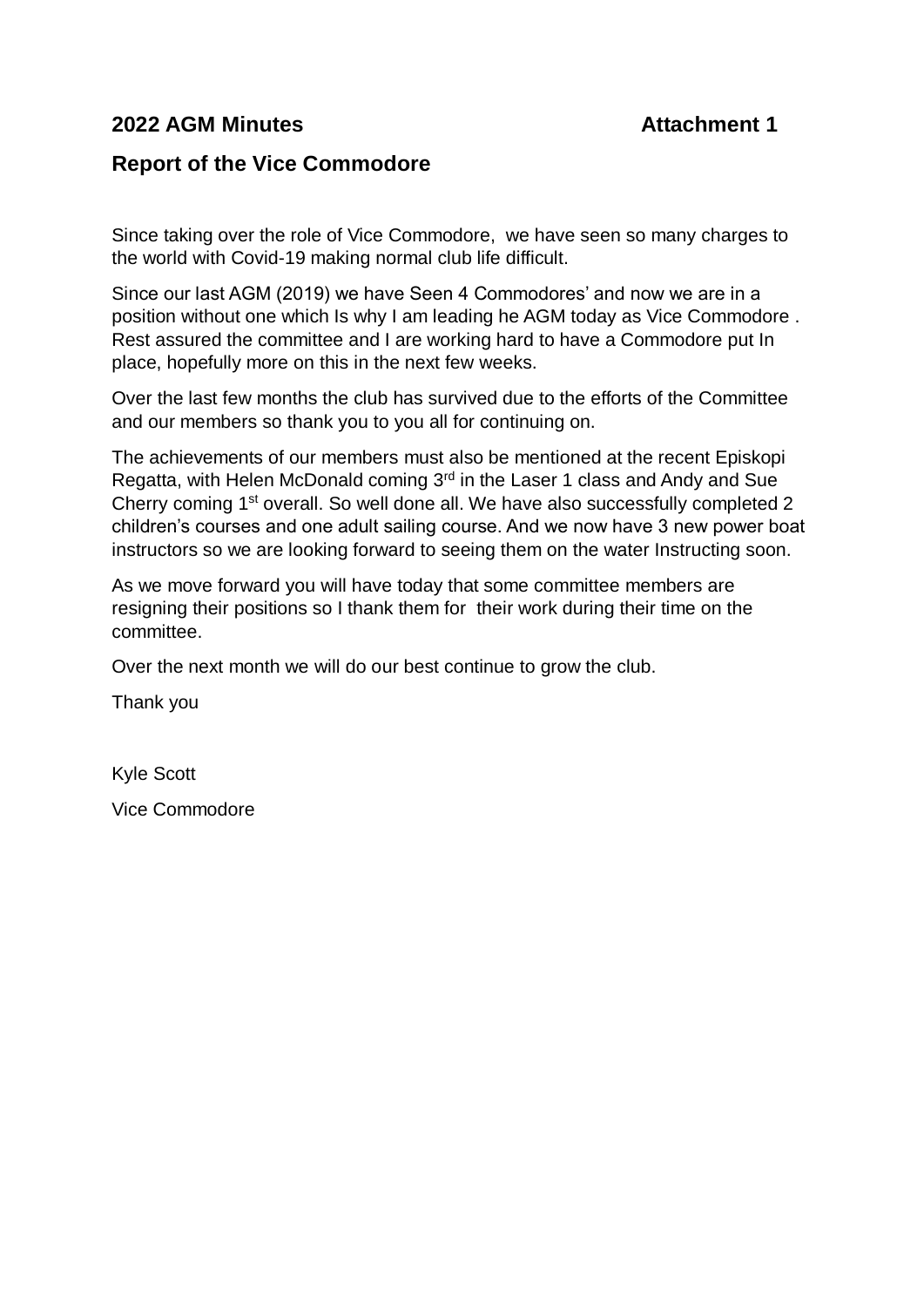## **2022 AGM Minutes Attachment 1**

## **Report of the Vice Commodore**

Since taking over the role of Vice Commodore, we have seen so many charges to the world with Covid-19 making normal club life difficult.

Since our last AGM (2019) we have Seen 4 Commodores' and now we are in a position without one which Is why I am leading he AGM today as Vice Commodore . Rest assured the committee and I are working hard to have a Commodore put In place, hopefully more on this in the next few weeks.

Over the last few months the club has survived due to the efforts of the Committee and our members so thank you to you all for continuing on.

The achievements of our members must also be mentioned at the recent Episkopi Regatta, with Helen McDonald coming 3rd in the Laser 1 class and Andy and Sue Cherry coming 1st overall. So well done all. We have also successfully completed 2 children's courses and one adult sailing course. And we now have 3 new power boat instructors so we are looking forward to seeing them on the water Instructing soon.

As we move forward you will have today that some committee members are resigning their positions so I thank them for their work during their time on the committee.

Over the next month we will do our best continue to grow the club.

Thank you

Kyle Scott

Vice Commodore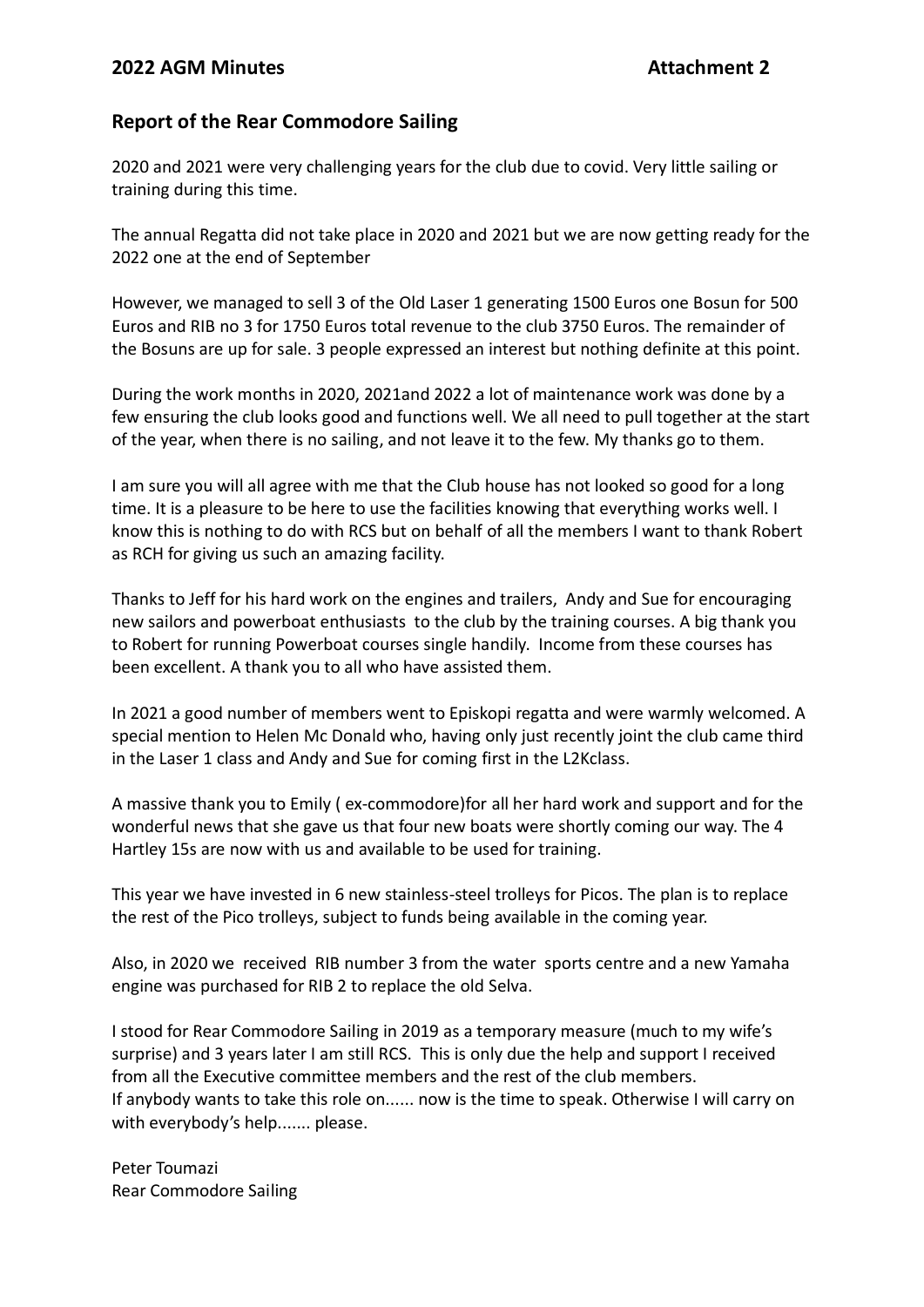## **Report of the Rear Commodore Sailing**

2020 and 2021 were very challenging years for the club due to covid. Very little sailing or training during this time.

The annual Regatta did not take place in 2020 and 2021 but we are now getting ready for the 2022 one at the end of September

However, we managed to sell 3 of the Old Laser 1 generating 1500 Euros one Bosun for 500 Euros and RIB no 3 for 1750 Euros total revenue to the club 3750 Euros. The remainder of the Bosuns are up for sale. 3 people expressed an interest but nothing definite at this point.

During the work months in 2020, 2021and 2022 a lot of maintenance work was done by a few ensuring the club looks good and functions well. We all need to pull together at the start of the year, when there is no sailing, and not leave it to the few. My thanks go to them.

I am sure you will all agree with me that the Club house has not looked so good for a long time. It is a pleasure to be here to use the facilities knowing that everything works well. I know this is nothing to do with RCS but on behalf of all the members I want to thank Robert as RCH for giving us such an amazing facility.

Thanks to Jeff for his hard work on the engines and trailers, Andy and Sue for encouraging new sailors and powerboat enthusiasts to the club by the training courses. A big thank you to Robert for running Powerboat courses single handily. Income from these courses has been excellent. A thank you to all who have assisted them.

In 2021 a good number of members went to Episkopi regatta and were warmly welcomed. A special mention to Helen Mc Donald who, having only just recently joint the club came third in the Laser 1 class and Andy and Sue for coming first in the L2Kclass.

A massive thank you to Emily ( ex-commodore)for all her hard work and support and for the wonderful news that she gave us that four new boats were shortly coming our way. The 4 Hartley 15s are now with us and available to be used for training.

This year we have invested in 6 new stainless-steel trolleys for Picos. The plan is to replace the rest of the Pico trolleys, subject to funds being available in the coming year.

Also, in 2020 we received RIB number 3 from the water sports centre and a new Yamaha engine was purchased for RIB 2 to replace the old Selva.

I stood for Rear Commodore Sailing in 2019 as a temporary measure (much to my wife's surprise) and 3 years later I am still RCS. This is only due the help and support I received from all the Executive committee members and the rest of the club members. If anybody wants to take this role on...... now is the time to speak. Otherwise I will carry on with everybody's help....... please.

Peter Toumazi Rear Commodore Sailing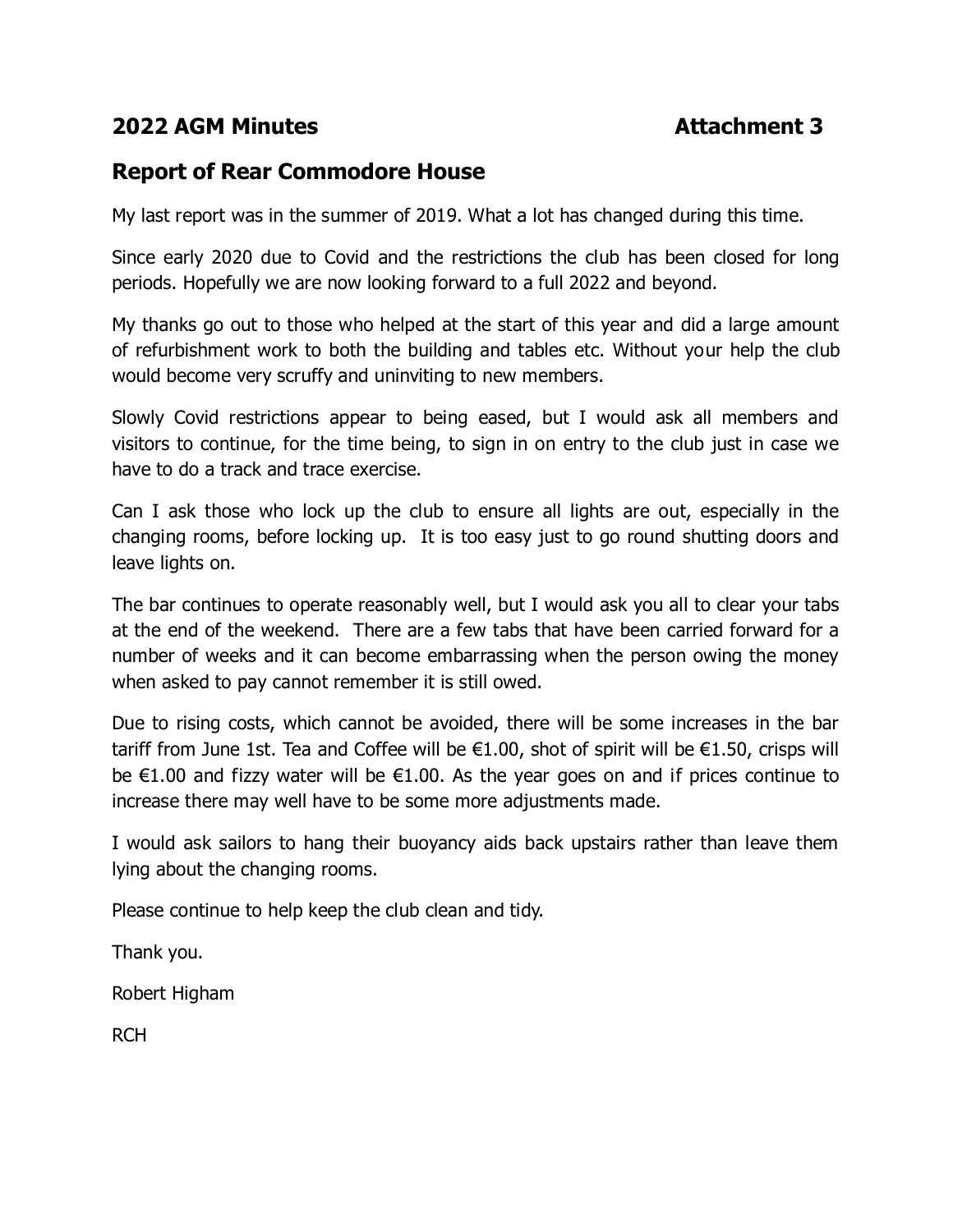# **2022 AGM Minutes Attachment 3**

# **Report of Rear Commodore House**

My last report was in the summer of 2019. What a lot has changed during this time.

Since early 2020 due to Covid and the restrictions the club has been closed for long periods. Hopefully we are now looking forward to a full 2022 and beyond.

My thanks go out to those who helped at the start of this year and did a large amount of refurbishment work to both the building and tables etc. Without your help the club would become very scruffy and uninviting to new members.

Slowly Covid restrictions appear to being eased, but I would ask all members and visitors to continue, for the time being, to sign in on entry to the club just in case we have to do a track and trace exercise.

Can I ask those who lock up the club to ensure all lights are out, especially in the changing rooms, before locking up. It is too easy just to go round shutting doors and leave lights on.

The bar continues to operate reasonably well, but I would ask you all to clear your tabs at the end of the weekend. There are a few tabs that have been carried forward for a number of weeks and it can become embarrassing when the person owing the money when asked to pay cannot remember it is still owed.

Due to rising costs, which cannot be avoided, there will be some increases in the bar tariff from June 1st. Tea and Coffee will be €1.00, shot of spirit will be €1.50, crisps will be  $\epsilon$ 1.00 and fizzy water will be  $\epsilon$ 1.00. As the year goes on and if prices continue to increase there may well have to be some more adjustments made.

I would ask sailors to hang their buoyancy aids back upstairs rather than leave them lying about the changing rooms.

Please continue to help keep the club clean and tidy.

Thank you.

Robert Higham

RCH